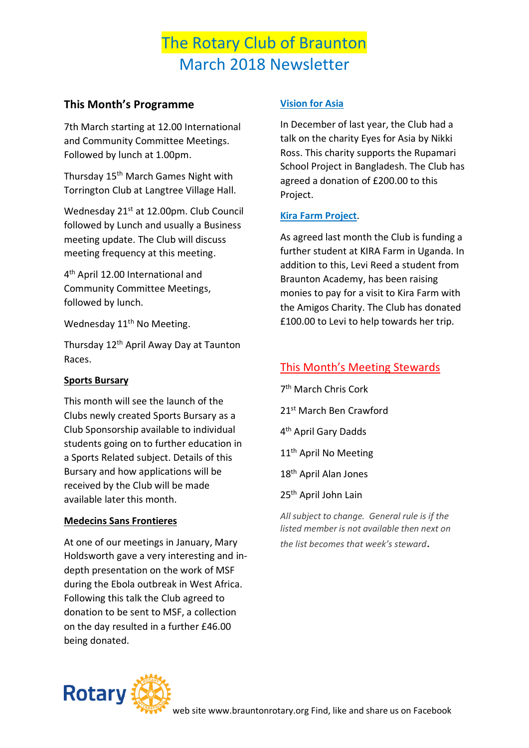# The Rotary Club of Braunton March 2018 Newsletter

## **This Month's Programme**

7th March starting at 12.00 International and Community Committee Meetings. Followed by lunch at 1.00pm.

Thursday 15<sup>th</sup> March Games Night with Torrington Club at Langtree Village Hall.

Wednesday 21st at 12.00pm. Club Council followed by Lunch and usually a Business meeting update. The Club will discuss meeting frequency at this meeting.

4 th April 12.00 International and Community Committee Meetings, followed by lunch.

Wednesday 11<sup>th</sup> No Meeting.

Thursday 12th April Away Day at Taunton Races.

### **Sports Bursary**

This month will see the launch of the Clubs newly created Sports Bursary as a Club Sponsorship available to individual students going on to further education in a Sports Related subject. Details of this Bursary and how applications will be received by the Club will be made available later this month.

#### **Medecins Sans Frontieres**

At one of our meetings in January, Mary Holdsworth gave a very interesting and indepth presentation on the work of MSF during the Ebola outbreak in West Africa. Following this talk the Club agreed to donation to be sent to MSF, a collection on the day resulted in a further £46.00 being donated.

### **Vision for Asia**

In December of last year, the Club had a talk on the charity Eyes for Asia by Nikki Ross. This charity supports the Rupamari School Project in Bangladesh. The Club has agreed a donation of £200.00 to this Project.

### **Kira Farm Project**.

As agreed last month the Club is funding a further student at KIRA Farm in Uganda. In addition to this, Levi Reed a student from Braunton Academy, has been raising monies to pay for a visit to Kira Farm with the Amigos Charity. The Club has donated £100.00 to Levi to help towards her trip.

### This Month's Meeting Stewards

7 th March Chris Cork 21st March Ben Crawford 4 th April Gary Dadds 11<sup>th</sup> April No Meeting 18th April Alan Jones

25<sup>th</sup> April John Lain

*All subject to change. General rule is if the listed member is not available then next on the list becomes that week's steward*.

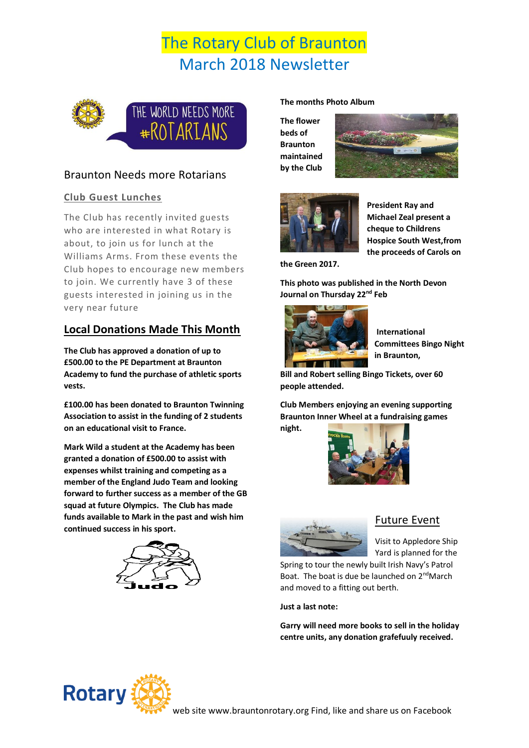# The Rotary Club of Braunton March 2018 Newsletter



### Braunton Needs more Rotarians

### **Club Guest Lunches**

The Club has recently invited guests who are interested in what Rotary is about, to join us for lunch at the Williams Arms. From these events the Club hopes to encourage new members to join. We currently have 3 of these guests interested in joining us in the very near future

## **Local Donations Made This Month**

**The Club has approved a donation of up to £500.00 to the PE Department at Braunton Academy to fund the purchase of athletic sports vests.**

**£100.00 has been donated to Braunton Twinning Association to assist in the funding of 2 students on an educational visit to France.**

**Mark Wild a student at the Academy has been granted a donation of £500.00 to assist with expenses whilst training and competing as a member of the England Judo Team and looking forward to further success as a member of the GB squad at future Olympics. The Club has made funds available to Mark in the past and wish him continued success in his sport.**



#### **The months Photo Album**

**The flower beds of Braunton maintained by the Club**





**President Ray and Michael Zeal present a cheque to Childrens Hospice South West,from the proceeds of Carols on** 

**the Green 2017.**

**This photo was published in the North Devon Journal on Thursday 22nd Feb**



**International Committees Bingo Night in Braunton,**

**Bill and Robert selling Bingo Tickets, over 60 people attended.**

**Club Members enjoying an evening supporting Braunton Inner Wheel at a fundraising games night.**





### Future Event

Visit to Appledore Ship Yard is planned for the

Spring to tour the newly built Irish Navy's Patrol Boat. The boat is due be launched on 2<sup>nd</sup>March and moved to a fitting out berth.

**Just a last note:**

**Garry will need more books to sell in the holiday centre units, any donation grafefuuly received.**